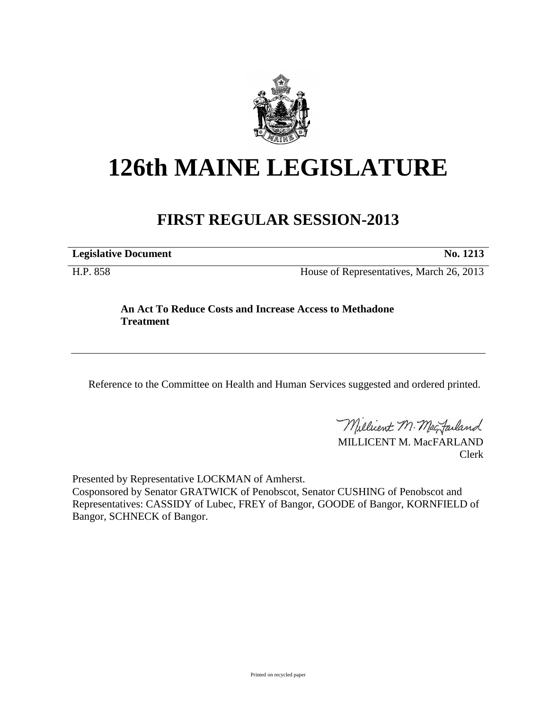

# **126th MAINE LEGISLATURE**

# **FIRST REGULAR SESSION-2013**

**Legislative Document No. 1213**

H.P. 858 House of Representatives, March 26, 2013

## **An Act To Reduce Costs and Increase Access to Methadone Treatment**

Reference to the Committee on Health and Human Services suggested and ordered printed.

Millicent M. Mac Failand

MILLICENT M. MacFARLAND Clerk

Presented by Representative LOCKMAN of Amherst.

Cosponsored by Senator GRATWICK of Penobscot, Senator CUSHING of Penobscot and Representatives: CASSIDY of Lubec, FREY of Bangor, GOODE of Bangor, KORNFIELD of Bangor, SCHNECK of Bangor.